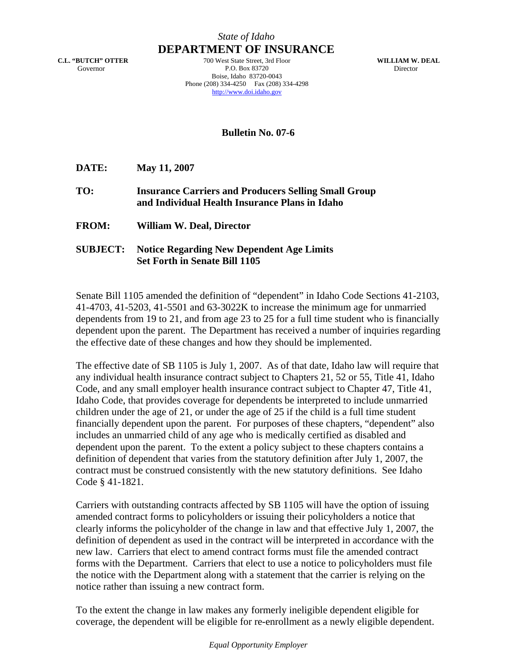**C.L. "BUTCH" OTTER**  Governor

*State of Idaho* **DEPARTMENT OF INSURANCE**

> 700 West State Street, 3rd Floor P.O. Box 83720 Boise, Idaho 83720-0043 Phone (208) 334-4250 Fax (208) 334-4298 http://www.doi.idaho.gov

**WILLIAM W. DEAL**  Director

**Bulletin No. 07-6** 

**DATE: May 11, 2007** 

**TO: Insurance Carriers and Producers Selling Small Group and Individual Health Insurance Plans in Idaho** 

**FROM: William W. Deal, Director** 

**SUBJECT: Notice Regarding New Dependent Age Limits Set Forth in Senate Bill 1105**

Senate Bill 1105 amended the definition of "dependent" in Idaho Code Sections 41-2103, 41-4703, 41-5203, 41-5501 and 63-3022K to increase the minimum age for unmarried dependents from 19 to 21, and from age 23 to 25 for a full time student who is financially dependent upon the parent. The Department has received a number of inquiries regarding the effective date of these changes and how they should be implemented.

The effective date of SB 1105 is July 1, 2007. As of that date, Idaho law will require that any individual health insurance contract subject to Chapters 21, 52 or 55, Title 41, Idaho Code, and any small employer health insurance contract subject to Chapter 47, Title 41, Idaho Code, that provides coverage for dependents be interpreted to include unmarried children under the age of 21, or under the age of 25 if the child is a full time student financially dependent upon the parent. For purposes of these chapters, "dependent" also includes an unmarried child of any age who is medically certified as disabled and dependent upon the parent. To the extent a policy subject to these chapters contains a definition of dependent that varies from the statutory definition after July 1, 2007, the contract must be construed consistently with the new statutory definitions. See Idaho Code § 41-1821.

Carriers with outstanding contracts affected by SB 1105 will have the option of issuing amended contract forms to policyholders or issuing their policyholders a notice that clearly informs the policyholder of the change in law and that effective July 1, 2007, the definition of dependent as used in the contract will be interpreted in accordance with the new law. Carriers that elect to amend contract forms must file the amended contract forms with the Department. Carriers that elect to use a notice to policyholders must file the notice with the Department along with a statement that the carrier is relying on the notice rather than issuing a new contract form.

To the extent the change in law makes any formerly ineligible dependent eligible for coverage, the dependent will be eligible for re-enrollment as a newly eligible dependent.

*Equal Opportunity Employer*